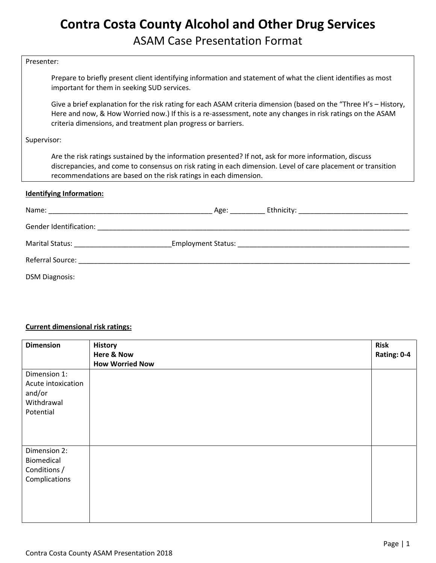## **Contra Costa County Alcohol and Other Drug Services** ASAM Case Presentation Format

#### Presenter:

Prepare to briefly present client identifying information and statement of what the client identifies as most important for them in seeking SUD services.

Give a brief explanation for the risk rating for each ASAM criteria dimension (based on the "Three H's – History, Here and now, & How Worried now.) If this is a re-assessment, note any changes in risk ratings on the ASAM criteria dimensions, and treatment plan progress or barriers.

#### Supervisor:

Are the risk ratings sustained by the information presented? If not, ask for more information, discuss discrepancies, and come to consensus on risk rating in each dimension. Level of care placement or transition recommendations are based on the risk ratings in each dimension.

#### **Identifying Information:**

|                                             | Age: |  |
|---------------------------------------------|------|--|
| Gender Identification:                      |      |  |
| Marital Status: ___________________________ |      |  |
|                                             |      |  |
| <b>DSM Diagnosis:</b>                       |      |  |

#### **Current dimensional risk ratings:**

| <b>Dimension</b>                                                        | <b>History</b><br><b>Here &amp; Now</b> | <b>Risk</b><br>Rating: 0-4 |
|-------------------------------------------------------------------------|-----------------------------------------|----------------------------|
| Dimension 1:<br>Acute intoxication<br>and/or<br>Withdrawal<br>Potential | <b>How Worried Now</b>                  |                            |
| Dimension 2:<br>Biomedical<br>Conditions /<br>Complications             |                                         |                            |